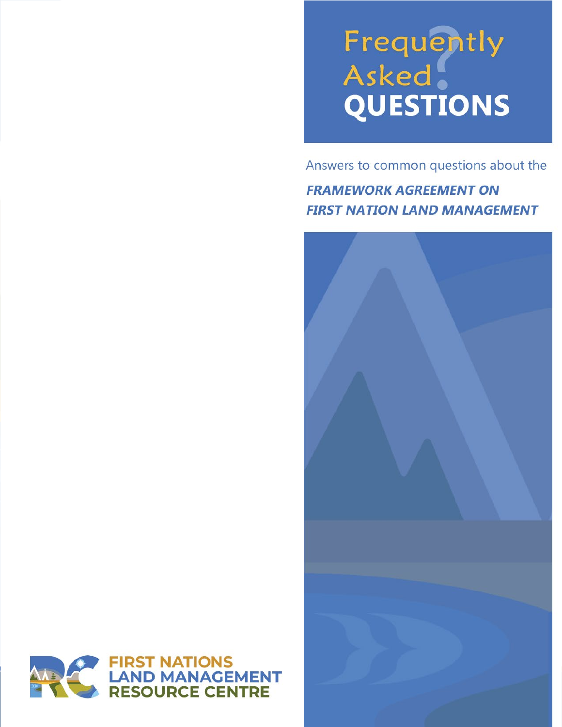# Frequently<br>Asked<br>QUESTIONS

Answers to common questions about the

**FRAMEWORK AGREEMENT ON FIRST NATION LAND MANAGEMENT** 



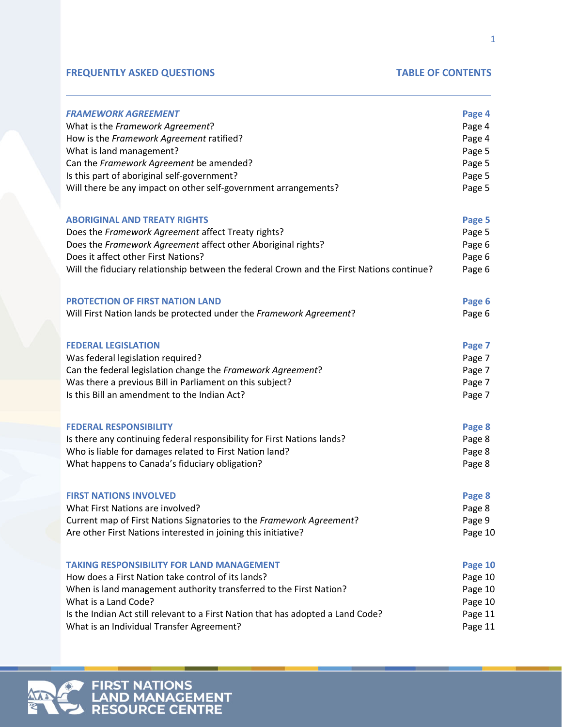### **FREQUENTLY ASKED QUESTIONS TABLE OF CONTENTS**

| <b>FRAMEWORK AGREEMENT</b>                                                                | Page 4  |
|-------------------------------------------------------------------------------------------|---------|
| What is the Framework Agreement?                                                          | Page 4  |
| How is the Framework Agreement ratified?                                                  | Page 4  |
| What is land management?                                                                  | Page 5  |
| Can the Framework Agreement be amended?                                                   | Page 5  |
| Is this part of aboriginal self-government?                                               | Page 5  |
| Will there be any impact on other self-government arrangements?                           | Page 5  |
| <b>ABORIGINAL AND TREATY RIGHTS</b>                                                       | Page 5  |
| Does the Framework Agreement affect Treaty rights?                                        | Page 5  |
| Does the Framework Agreement affect other Aboriginal rights?                              | Page 6  |
| Does it affect other First Nations?                                                       | Page 6  |
| Will the fiduciary relationship between the federal Crown and the First Nations continue? | Page 6  |
| <b>PROTECTION OF FIRST NATION LAND</b>                                                    | Page 6  |
| Will First Nation lands be protected under the Framework Agreement?                       | Page 6  |
| <b>FEDERAL LEGISLATION</b>                                                                | Page 7  |
| Was federal legislation required?                                                         | Page 7  |
| Can the federal legislation change the Framework Agreement?                               | Page 7  |
| Was there a previous Bill in Parliament on this subject?                                  | Page 7  |
| Is this Bill an amendment to the Indian Act?                                              | Page 7  |
| <b>FEDERAL RESPONSIBILITY</b>                                                             | Page 8  |
| Is there any continuing federal responsibility for First Nations lands?                   | Page 8  |
| Who is liable for damages related to First Nation land?                                   | Page 8  |
| What happens to Canada's fiduciary obligation?                                            | Page 8  |
| <b>FIRST NATIONS INVOLVED</b>                                                             | Page 8  |
| What First Nations are involved?                                                          | Page 8  |
| Current map of First Nations Signatories to the Framework Agreement?                      | Page 9  |
| Are other First Nations interested in joining this initiative?                            | Page 10 |
| <b>TAKING RESPONSIBILITY FOR LAND MANAGEMENT</b>                                          | Page 10 |
| How does a First Nation take control of its lands?                                        | Page 10 |
| When is land management authority transferred to the First Nation?                        | Page 10 |
| What is a Land Code?                                                                      | Page 10 |
| Is the Indian Act still relevant to a First Nation that has adopted a Land Code?          | Page 11 |
| What is an Individual Transfer Agreement?                                                 | Page 11 |
|                                                                                           |         |



**FIRST NATIONS<br>LAND MANAGEMENT<br>RESOURCE CENTRE**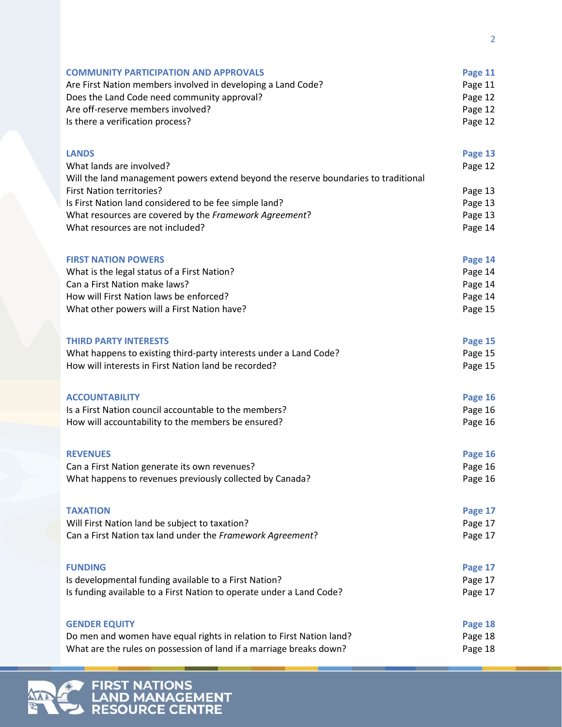| <b>COMMUNITY PARTICIPATION AND APPROVALS</b>                                        | Page 11 |
|-------------------------------------------------------------------------------------|---------|
| Are First Nation members involved in developing a Land Code?                        | Page 11 |
| Does the Land Code need community approval?                                         | Page 12 |
| Are off-reserve members involved?                                                   | Page 12 |
| Is there a verification process?                                                    | Page 12 |
|                                                                                     |         |
| <b>LANDS</b>                                                                        | Page 13 |
| What lands are involved?                                                            | Page 12 |
| Will the land management powers extend beyond the reserve boundaries to traditional |         |
| First Nation territories?                                                           | Page 13 |
| Is First Nation land considered to be fee simple land?                              | Page 13 |
| What resources are covered by the Framework Agreement?                              | Page 13 |
| What resources are not included?                                                    | Page 14 |
| <b>FIRST NATION POWERS</b>                                                          | Page 14 |
|                                                                                     |         |
| What is the legal status of a First Nation?<br>Can a First Nation make laws?        | Page 14 |
| How will First Nation laws be enforced?                                             | Page 14 |
|                                                                                     | Page 14 |
| What other powers will a First Nation have?                                         | Page 15 |
| <b>THIRD PARTY INTERESTS</b>                                                        | Page 15 |
| What happens to existing third-party interests under a Land Code?                   | Page 15 |
| How will interests in First Nation land be recorded?                                | Page 15 |
| <b>ACCOUNTABILITY</b>                                                               | Page 16 |
| Is a First Nation council accountable to the members?                               | Page 16 |
| How will accountability to the members be ensured?                                  | Page 16 |
|                                                                                     |         |
| <b>REVENUES</b>                                                                     | Page 16 |
| Can a First Nation generate its own revenues?                                       | Page 16 |
| What happens to revenues previously collected by Canada?                            | Page 16 |
| <b>TAXATION</b>                                                                     | Page 17 |
| Will First Nation land be subject to taxation?                                      | Page 17 |
| Can a First Nation tax land under the Framework Agreement?                          | Page 17 |
|                                                                                     |         |
| <b>FUNDING</b>                                                                      | Page 17 |
| Is developmental funding available to a First Nation?                               | Page 17 |
| Is funding available to a First Nation to operate under a Land Code?                | Page 17 |
| <b>GENDER EQUITY</b>                                                                |         |
|                                                                                     | Page 18 |
| Do men and women have equal rights in relation to First Nation land?                | Page 18 |
| What are the rules on possession of land if a marriage breaks down?                 | Page 18 |

# **FIRST NATIONS<br>LAND MANAGEMENT<br>RESOURCE CENTRE**  $\circ$

公司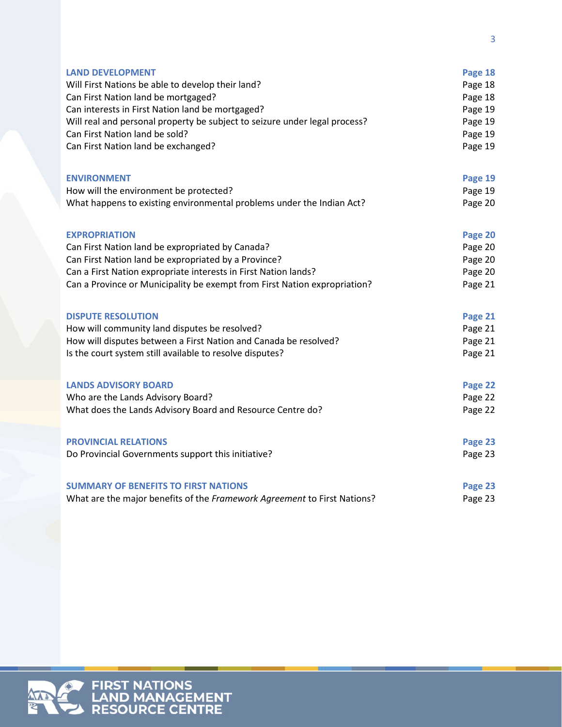| <b>LAND DEVELOPMENT</b>                                                    | Page 18 |
|----------------------------------------------------------------------------|---------|
| Will First Nations be able to develop their land?                          | Page 18 |
| Can First Nation land be mortgaged?                                        | Page 18 |
| Can interests in First Nation land be mortgaged?                           | Page 19 |
| Will real and personal property be subject to seizure under legal process? | Page 19 |
| Can First Nation land be sold?                                             | Page 19 |
| Can First Nation land be exchanged?                                        | Page 19 |
|                                                                            |         |
|                                                                            |         |
| <b>ENVIRONMENT</b>                                                         | Page 19 |
| How will the environment be protected?                                     | Page 19 |
| What happens to existing environmental problems under the Indian Act?      | Page 20 |
|                                                                            |         |
| <b>EXPROPRIATION</b>                                                       | Page 20 |
| Can First Nation land be expropriated by Canada?                           | Page 20 |
| Can First Nation land be expropriated by a Province?                       | Page 20 |
| Can a First Nation expropriate interests in First Nation lands?            | Page 20 |
| Can a Province or Municipality be exempt from First Nation expropriation?  | Page 21 |
|                                                                            |         |
| <b>DISPUTE RESOLUTION</b>                                                  | Page 21 |
| How will community land disputes be resolved?                              | Page 21 |
| How will disputes between a First Nation and Canada be resolved?           | Page 21 |
| Is the court system still available to resolve disputes?                   | Page 21 |
|                                                                            |         |
| <b>LANDS ADVISORY BOARD</b>                                                | Page 22 |
| Who are the Lands Advisory Board?                                          | Page 22 |
| What does the Lands Advisory Board and Resource Centre do?                 | Page 22 |
|                                                                            |         |
|                                                                            |         |
| <b>PROVINCIAL RELATIONS</b>                                                | Page 23 |
| Do Provincial Governments support this initiative?                         | Page 23 |
|                                                                            |         |
| <b>SUMMARY OF BENEFITS TO FIRST NATIONS</b>                                | Page 23 |
| What are the major benefits of the Framework Agreement to First Nations?   | Page 23 |

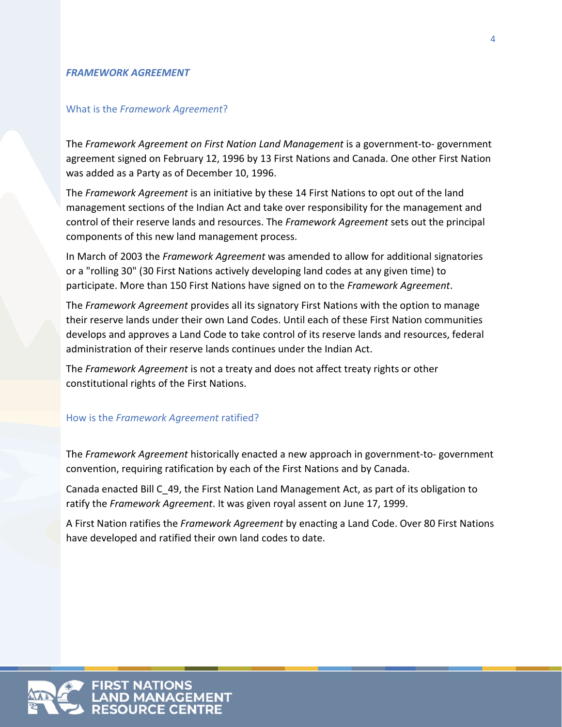### *FRAMEWORK AGREEMENT*

### What is the *Framework Agreement*?

The *Framework Agreement on First Nation Land Management* is a government-to- government agreement signed on February 12, 1996 by 13 First Nations and Canada. One other First Nation was added as a Party as of December 10, 1996.

The *Framework Agreement* is an initiative by these 14 First Nations to opt out of the land management sections of the Indian Act and take over responsibility for the management and control of their reserve lands and resources. The *Framework Agreement* sets out the principal components of this new land management process.

In March of 2003 the *Framework Agreement* was amended to allow for additional signatories or a "rolling 30" (30 First Nations actively developing land codes at any given time) to participate. More than 150 First Nations have signed on to the *Framework Agreement*.

The *Framework Agreement* provides all its signatory First Nations with the option to manage their reserve lands under their own Land Codes. Until each of these First Nation communities develops and approves a Land Code to take control of its reserve lands and resources, federal administration of their reserve lands continues under the Indian Act.

The *Framework Agreement* is not a treaty and does not affect treaty rights or other constitutional rights of the First Nations.

### How is the *Framework Agreement* ratified?

The *Framework Agreement* historically enacted a new approach in government-to- government convention, requiring ratification by each of the First Nations and by Canada.

Canada enacted Bill C\_49, the First Nation Land Management Act, as part of its obligation to ratify the *Framework Agreement*. It was given royal assent on June 17, 1999.

A First Nation ratifies the *Framework Agreement* by enacting a Land Code. Over 80 First Nations have developed and ratified their own land codes to date.

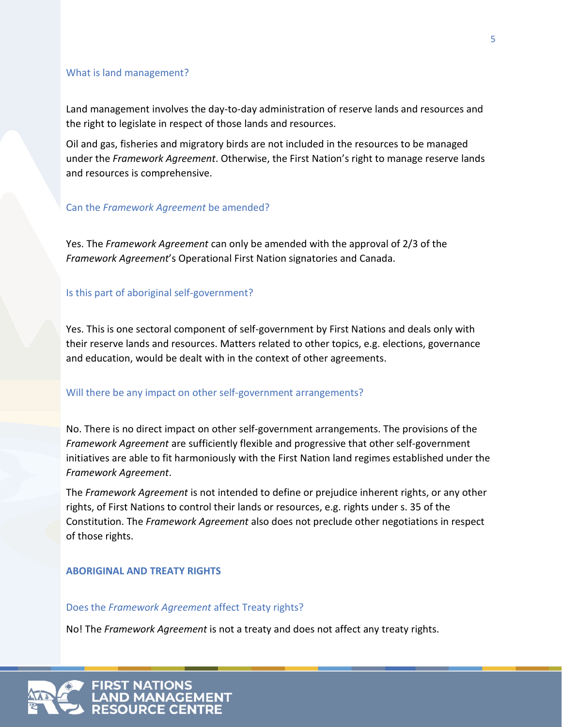### What is land management?

Land management involves the day-to-day administration of reserve lands and resources and the right to legislate in respect of those lands and resources.

Oil and gas, fisheries and migratory birds are not included in the resources to be managed under the *Framework Agreement*. Otherwise, the First Nation's right to manage reserve lands and resources is comprehensive.

### Can the *Framework Agreement* be amended?

Yes. The *Framework Agreement* can only be amended with the approval of 2/3 of the *Framework Agreement*'s Operational First Nation signatories and Canada.

### Is this part of aboriginal self-government?

Yes. This is one sectoral component of self-government by First Nations and deals only with their reserve lands and resources. Matters related to other topics, e.g. elections, governance and education, would be dealt with in the context of other agreements.

### Will there be any impact on other self-government arrangements?

No. There is no direct impact on other self-government arrangements. The provisions of the *Framework Agreement* are sufficiently flexible and progressive that other self-government initiatives are able to fit harmoniously with the First Nation land regimes established under the *Framework Agreement*.

The *Framework Agreement* is not intended to define or prejudice inherent rights, or any other rights, of First Nations to control their lands or resources, e.g. rights under s. 35 of the Constitution. The *Framework Agreement* also does not preclude other negotiations in respect of those rights.

### **ABORIGINAL AND TREATY RIGHTS**

### Does the *Framework Agreement* affect Treaty rights?

No! The *Framework Agreement* is not a treaty and does not affect any treaty rights.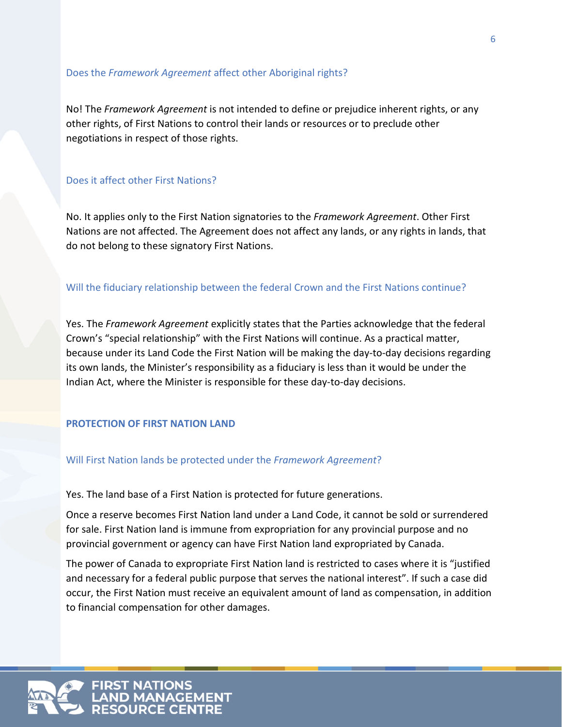### Does the *Framework Agreement* affect other Aboriginal rights?

No! The *Framework Agreement* is not intended to define or prejudice inherent rights, or any other rights, of First Nations to control their lands or resources or to preclude other negotiations in respect of those rights.

### Does it affect other First Nations?

No. It applies only to the First Nation signatories to the *Framework Agreement*. Other First Nations are not affected. The Agreement does not affect any lands, or any rights in lands, that do not belong to these signatory First Nations.

### Will the fiduciary relationship between the federal Crown and the First Nations continue?

Yes. The *Framework Agreement* explicitly states that the Parties acknowledge that the federal Crown's "special relationship" with the First Nations will continue. As a practical matter, because under its Land Code the First Nation will be making the day-to-day decisions regarding its own lands, the Minister's responsibility as a fiduciary is less than it would be under the Indian Act, where the Minister is responsible for these day-to-day decisions.

### **PROTECTION OF FIRST NATION LAND**

### Will First Nation lands be protected under the *Framework Agreement*?

Yes. The land base of a First Nation is protected for future generations.

Once a reserve becomes First Nation land under a Land Code, it cannot be sold or surrendered for sale. First Nation land is immune from expropriation for any provincial purpose and no provincial government or agency can have First Nation land expropriated by Canada.

The power of Canada to expropriate First Nation land is restricted to cases where it is "justified and necessary for a federal public purpose that serves the national interest". If such a case did occur, the First Nation must receive an equivalent amount of land as compensation, in addition to financial compensation for other damages.

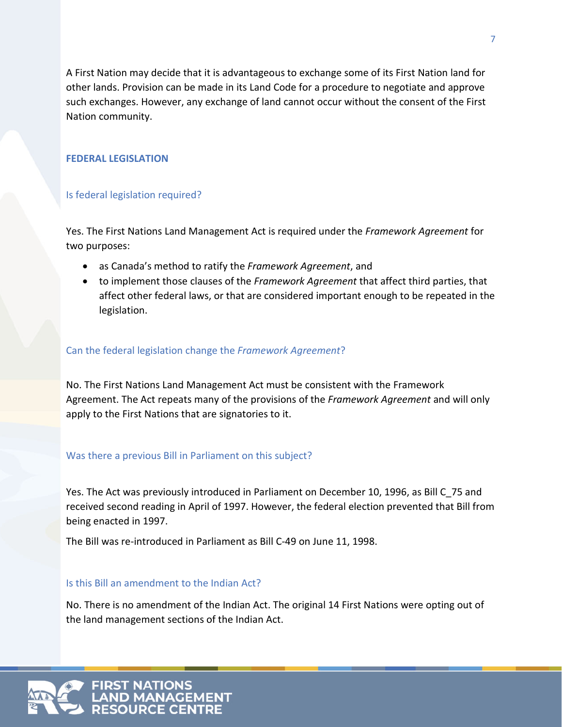A First Nation may decide that it is advantageous to exchange some of its First Nation land for other lands. Provision can be made in its Land Code for a procedure to negotiate and approve such exchanges. However, any exchange of land cannot occur without the consent of the First Nation community.

### **FEDERAL LEGISLATION**

### Is federal legislation required?

Yes. The First Nations Land Management Act is required under the *Framework Agreement* for two purposes:

- as Canada's method to ratify the *Framework Agreement*, and
- to implement those clauses of the *Framework Agreement* that affect third parties, that affect other federal laws, or that are considered important enough to be repeated in the legislation.

### Can the federal legislation change the *Framework Agreement*?

No. The First Nations Land Management Act must be consistent with the Framework Agreement. The Act repeats many of the provisions of the *Framework Agreement* and will only apply to the First Nations that are signatories to it.

### Was there a previous Bill in Parliament on this subject?

Yes. The Act was previously introduced in Parliament on December 10, 1996, as Bill C\_75 and received second reading in April of 1997. However, the federal election prevented that Bill from being enacted in 1997.

The Bill was re-introduced in Parliament as Bill C-49 on June 11, 1998.

### Is this Bill an amendment to the Indian Act?

No. There is no amendment of the Indian Act. The original 14 First Nations were opting out of the land management sections of the Indian Act.

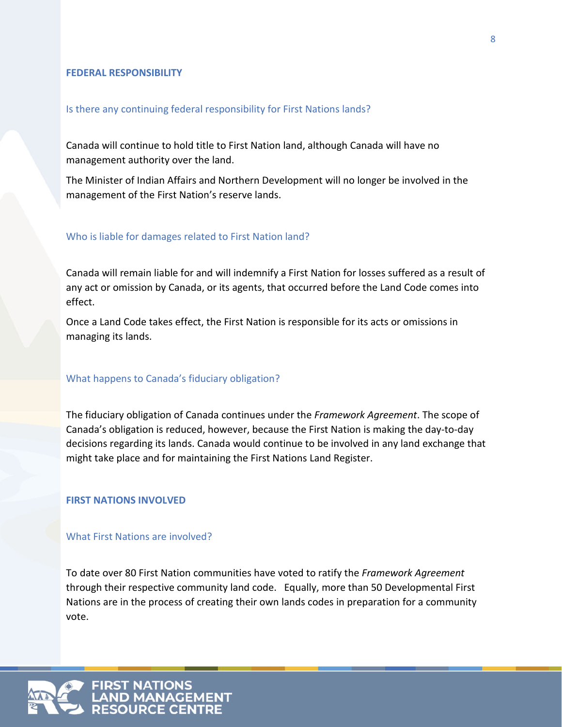### **FEDERAL RESPONSIBILITY**

### Is there any continuing federal responsibility for First Nations lands?

Canada will continue to hold title to First Nation land, although Canada will have no management authority over the land.

The Minister of Indian Affairs and Northern Development will no longer be involved in the management of the First Nation's reserve lands.

### Who is liable for damages related to First Nation land?

Canada will remain liable for and will indemnify a First Nation for losses suffered as a result of any act or omission by Canada, or its agents, that occurred before the Land Code comes into effect.

Once a Land Code takes effect, the First Nation is responsible for its acts or omissions in managing its lands.

### What happens to Canada's fiduciary obligation?

The fiduciary obligation of Canada continues under the *Framework Agreement*. The scope of Canada's obligation is reduced, however, because the First Nation is making the day-to-day decisions regarding its lands. Canada would continue to be involved in any land exchange that might take place and for maintaining the First Nations Land Register.

### **FIRST NATIONS INVOLVED**

### What First Nations are involved?

To date over 80 First Nation communities have voted to ratify the *Framework Agreement* through their respective community land code. Equally, more than 50 Developmental First Nations are in the process of creating their own lands codes in preparation for a community vote.

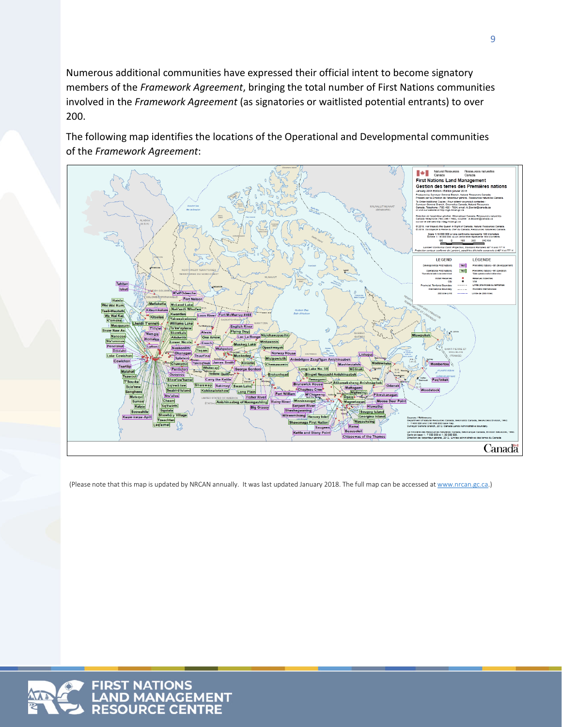Numerous additional communities have expressed their official intent to become signatory members of the *Framework Agreement*, bringing the total number of First Nations communities involved in the *Framework Agreement* (as signatories or waitlisted potential entrants) to over 200.

The following map identifies the locations of the Operational and Developmental communities of the *Framework Agreement*:



(Please note that this map is updated by NRCAN annually. It was last updated January 2018. The full map can be accessed a[t www.nrcan.gc.ca.](http://www.nrcan.gc.ca/))

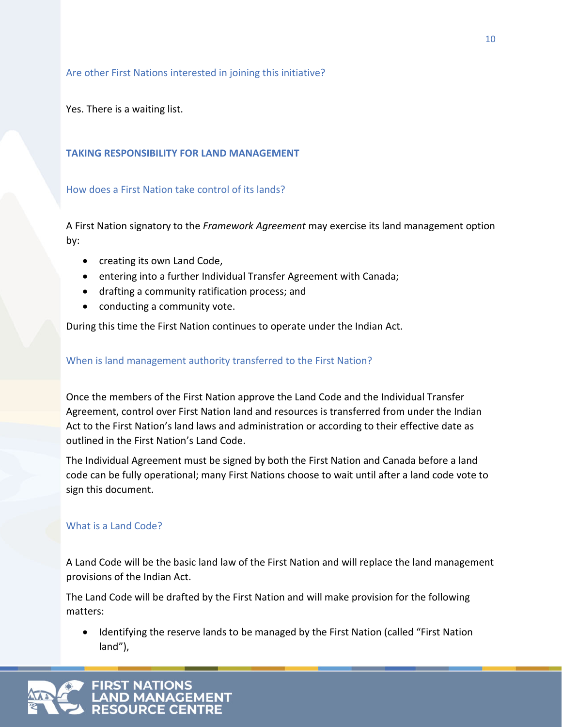### Are other First Nations interested in joining this initiative?

Yes. There is a waiting list.

### **TAKING RESPONSIBILITY FOR LAND MANAGEMENT**

### How does a First Nation take control of its lands?

A First Nation signatory to the *Framework Agreement* may exercise its land management option by:

- creating its own Land Code,
- entering into a further Individual Transfer Agreement with Canada;
- drafting a community ratification process; and
- conducting a community vote.

During this time the First Nation continues to operate under the Indian Act.

### When is land management authority transferred to the First Nation?

Once the members of the First Nation approve the Land Code and the Individual Transfer Agreement, control over First Nation land and resources is transferred from under the Indian Act to the First Nation's land laws and administration or according to their effective date as outlined in the First Nation's Land Code.

The Individual Agreement must be signed by both the First Nation and Canada before a land code can be fully operational; many First Nations choose to wait until after a land code vote to sign this document.

### What is a Land Code?

A Land Code will be the basic land law of the First Nation and will replace the land management provisions of the Indian Act.

The Land Code will be drafted by the First Nation and will make provision for the following matters:

• Identifying the reserve lands to be managed by the First Nation (called "First Nation land"),

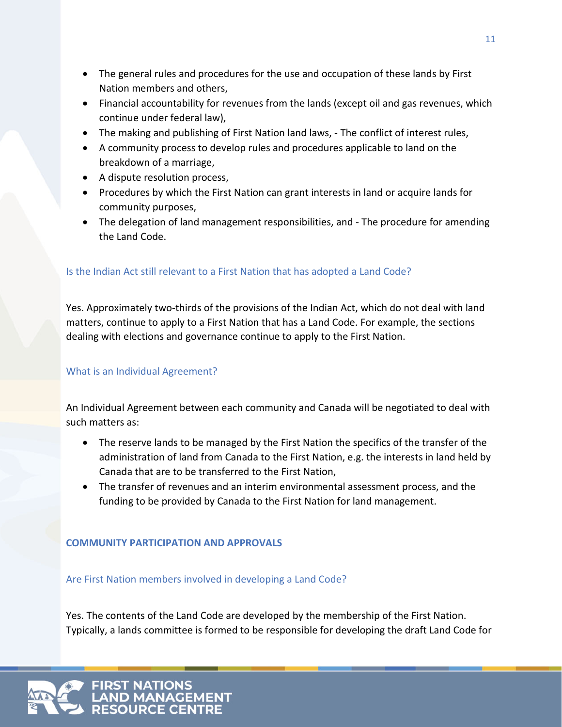- The general rules and procedures for the use and occupation of these lands by First Nation members and others,
- Financial accountability for revenues from the lands (except oil and gas revenues, which continue under federal law),
- The making and publishing of First Nation land laws, The conflict of interest rules,
- A community process to develop rules and procedures applicable to land on the breakdown of a marriage,
- A dispute resolution process,
- Procedures by which the First Nation can grant interests in land or acquire lands for community purposes,
- The delegation of land management responsibilities, and The procedure for amending the Land Code.

## Is the Indian Act still relevant to a First Nation that has adopted a Land Code?

Yes. Approximately two-thirds of the provisions of the Indian Act, which do not deal with land matters, continue to apply to a First Nation that has a Land Code. For example, the sections dealing with elections and governance continue to apply to the First Nation.

### What is an Individual Agreement?

An Individual Agreement between each community and Canada will be negotiated to deal with such matters as:

- The reserve lands to be managed by the First Nation the specifics of the transfer of the administration of land from Canada to the First Nation, e.g. the interests in land held by Canada that are to be transferred to the First Nation,
- The transfer of revenues and an interim environmental assessment process, and the funding to be provided by Canada to the First Nation for land management.

### **COMMUNITY PARTICIPATION AND APPROVALS**

Are First Nation members involved in developing a Land Code?

Yes. The contents of the Land Code are developed by the membership of the First Nation. Typically, a lands committee is formed to be responsible for developing the draft Land Code for

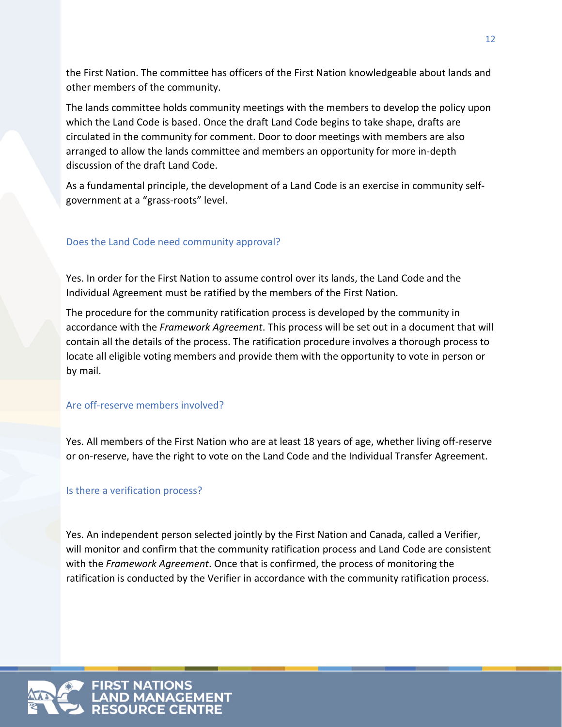the First Nation. The committee has officers of the First Nation knowledgeable about lands and other members of the community.

The lands committee holds community meetings with the members to develop the policy upon which the Land Code is based. Once the draft Land Code begins to take shape, drafts are circulated in the community for comment. Door to door meetings with members are also arranged to allow the lands committee and members an opportunity for more in-depth discussion of the draft Land Code.

As a fundamental principle, the development of a Land Code is an exercise in community selfgovernment at a "grass-roots" level.

### Does the Land Code need community approval?

Yes. In order for the First Nation to assume control over its lands, the Land Code and the Individual Agreement must be ratified by the members of the First Nation.

The procedure for the community ratification process is developed by the community in accordance with the *Framework Agreement*. This process will be set out in a document that will contain all the details of the process. The ratification procedure involves a thorough process to locate all eligible voting members and provide them with the opportunity to vote in person or by mail.

### Are off-reserve members involved?

Yes. All members of the First Nation who are at least 18 years of age, whether living off-reserve or on-reserve, have the right to vote on the Land Code and the Individual Transfer Agreement.

### Is there a verification process?

Yes. An independent person selected jointly by the First Nation and Canada, called a Verifier, will monitor and confirm that the community ratification process and Land Code are consistent with the *Framework Agreement*. Once that is confirmed, the process of monitoring the ratification is conducted by the Verifier in accordance with the community ratification process.

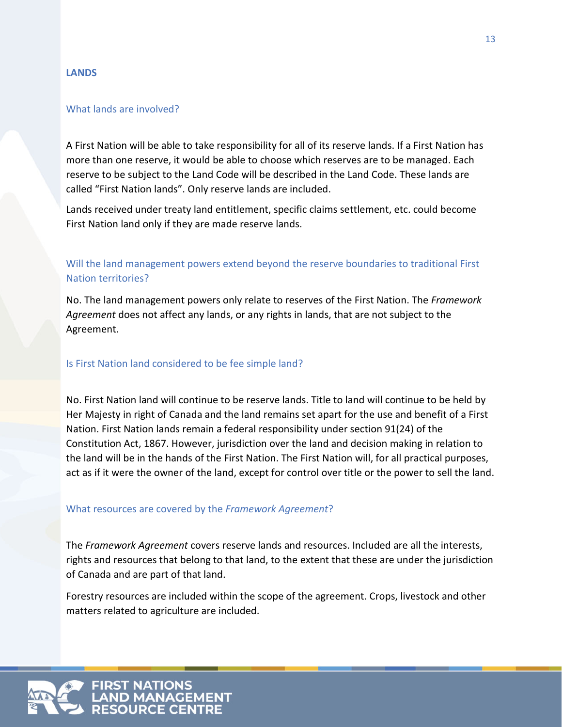### **LANDS**

### What lands are involved?

A First Nation will be able to take responsibility for all of its reserve lands. If a First Nation has more than one reserve, it would be able to choose which reserves are to be managed. Each reserve to be subject to the Land Code will be described in the Land Code. These lands are called "First Nation lands". Only reserve lands are included.

Lands received under treaty land entitlement, specific claims settlement, etc. could become First Nation land only if they are made reserve lands.

### Will the land management powers extend beyond the reserve boundaries to traditional First Nation territories?

No. The land management powers only relate to reserves of the First Nation. The *Framework Agreement* does not affect any lands, or any rights in lands, that are not subject to the Agreement.

### Is First Nation land considered to be fee simple land?

No. First Nation land will continue to be reserve lands. Title to land will continue to be held by Her Majesty in right of Canada and the land remains set apart for the use and benefit of a First Nation. First Nation lands remain a federal responsibility under section 91(24) of the Constitution Act, 1867. However, jurisdiction over the land and decision making in relation to the land will be in the hands of the First Nation. The First Nation will, for all practical purposes, act as if it were the owner of the land, except for control over title or the power to sell the land.

### What resources are covered by the *Framework Agreement*?

The *Framework Agreement* covers reserve lands and resources. Included are all the interests, rights and resources that belong to that land, to the extent that these are under the jurisdiction of Canada and are part of that land.

Forestry resources are included within the scope of the agreement. Crops, livestock and other matters related to agriculture are included.

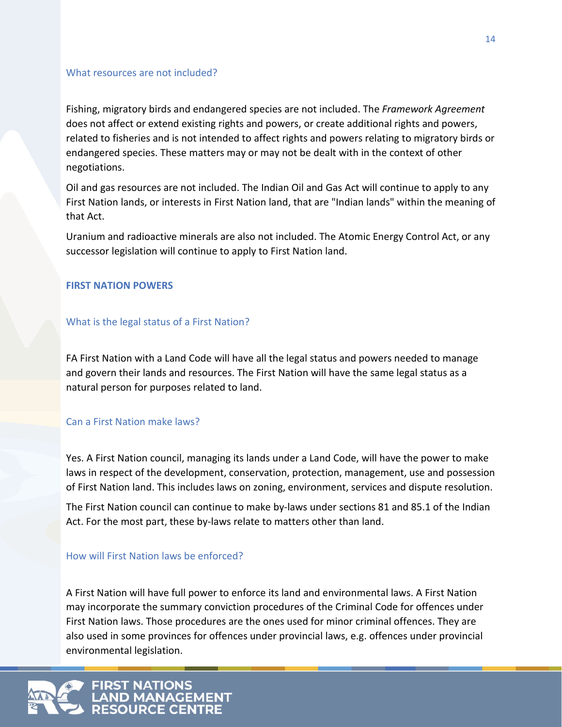### What resources are not included?

Fishing, migratory birds and endangered species are not included. The *Framework Agreement* does not affect or extend existing rights and powers, or create additional rights and powers, related to fisheries and is not intended to affect rights and powers relating to migratory birds or endangered species. These matters may or may not be dealt with in the context of other negotiations.

Oil and gas resources are not included. The Indian Oil and Gas Act will continue to apply to any First Nation lands, or interests in First Nation land, that are "Indian lands" within the meaning of that Act.

Uranium and radioactive minerals are also not included. The Atomic Energy Control Act, or any successor legislation will continue to apply to First Nation land.

### **FIRST NATION POWERS**

### What is the legal status of a First Nation?

FA First Nation with a Land Code will have all the legal status and powers needed to manage and govern their lands and resources. The First Nation will have the same legal status as a natural person for purposes related to land.

### Can a First Nation make laws?

Yes. A First Nation council, managing its lands under a Land Code, will have the power to make laws in respect of the development, conservation, protection, management, use and possession of First Nation land. This includes laws on zoning, environment, services and dispute resolution.

The First Nation council can continue to make by-laws under sections 81 and 85.1 of the Indian Act. For the most part, these by-laws relate to matters other than land.

### How will First Nation laws be enforced?

A First Nation will have full power to enforce its land and environmental laws. A First Nation may incorporate the summary conviction procedures of the Criminal Code for offences under First Nation laws. Those procedures are the ones used for minor criminal offences. They are also used in some provinces for offences under provincial laws, e.g. offences under provincial environmental legislation.

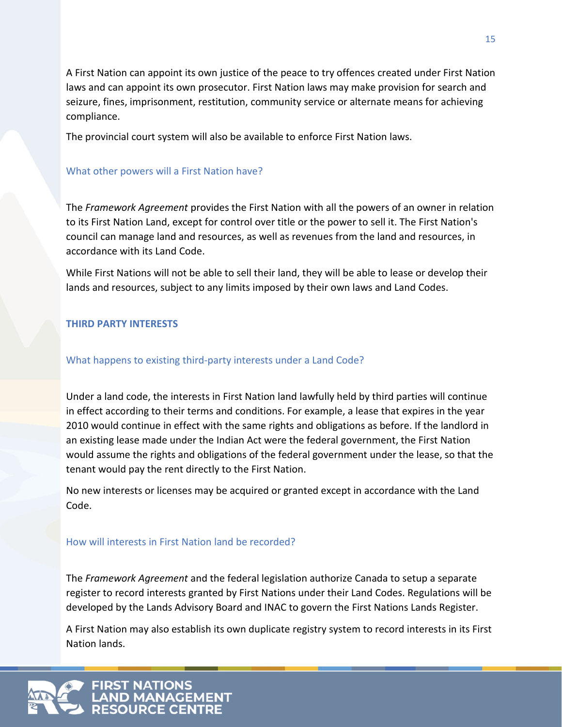A First Nation can appoint its own justice of the peace to try offences created under First Nation laws and can appoint its own prosecutor. First Nation laws may make provision for search and seizure, fines, imprisonment, restitution, community service or alternate means for achieving compliance.

The provincial court system will also be available to enforce First Nation laws.

### What other powers will a First Nation have?

The *Framework Agreement* provides the First Nation with all the powers of an owner in relation to its First Nation Land, except for control over title or the power to sell it. The First Nation's council can manage land and resources, as well as revenues from the land and resources, in accordance with its Land Code.

While First Nations will not be able to sell their land, they will be able to lease or develop their lands and resources, subject to any limits imposed by their own laws and Land Codes.

### **THIRD PARTY INTERESTS**

### What happens to existing third-party interests under a Land Code?

Under a land code, the interests in First Nation land lawfully held by third parties will continue in effect according to their terms and conditions. For example, a lease that expires in the year 2010 would continue in effect with the same rights and obligations as before. If the landlord in an existing lease made under the Indian Act were the federal government, the First Nation would assume the rights and obligations of the federal government under the lease, so that the tenant would pay the rent directly to the First Nation.

No new interests or licenses may be acquired or granted except in accordance with the Land Code.

### How will interests in First Nation land be recorded?

The *Framework Agreement* and the federal legislation authorize Canada to setup a separate register to record interests granted by First Nations under their Land Codes. Regulations will be developed by the Lands Advisory Board and INAC to govern the First Nations Lands Register.

A First Nation may also establish its own duplicate registry system to record interests in its First Nation lands.

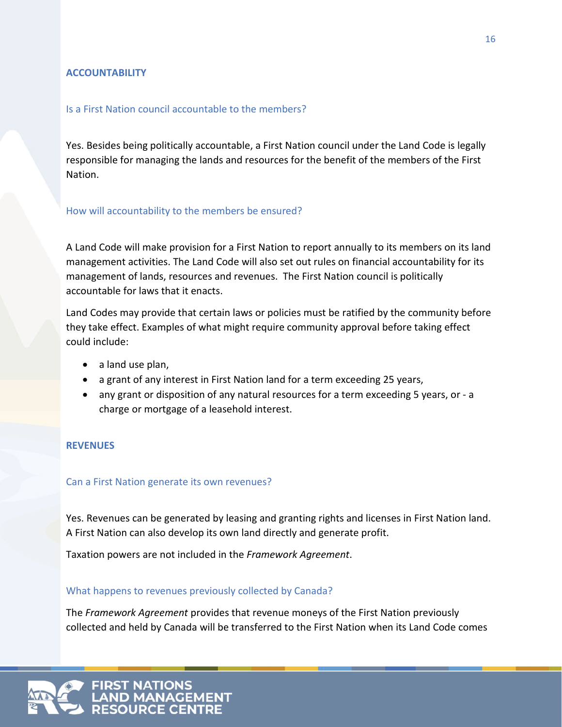### **ACCOUNTABILITY**

### Is a First Nation council accountable to the members?

Yes. Besides being politically accountable, a First Nation council under the Land Code is legally responsible for managing the lands and resources for the benefit of the members of the First Nation.

### How will accountability to the members be ensured?

A Land Code will make provision for a First Nation to report annually to its members on its land management activities. The Land Code will also set out rules on financial accountability for its management of lands, resources and revenues. The First Nation council is politically accountable for laws that it enacts.

Land Codes may provide that certain laws or policies must be ratified by the community before they take effect. Examples of what might require community approval before taking effect could include:

- a land use plan,
- a grant of any interest in First Nation land for a term exceeding 25 years,
- any grant or disposition of any natural resources for a term exceeding 5 years, or a charge or mortgage of a leasehold interest.

### **REVENUES**

### Can a First Nation generate its own revenues?

Yes. Revenues can be generated by leasing and granting rights and licenses in First Nation land. A First Nation can also develop its own land directly and generate profit.

Taxation powers are not included in the *Framework Agreement*.

### What happens to revenues previously collected by Canada?

The *Framework Agreement* provides that revenue moneys of the First Nation previously collected and held by Canada will be transferred to the First Nation when its Land Code comes

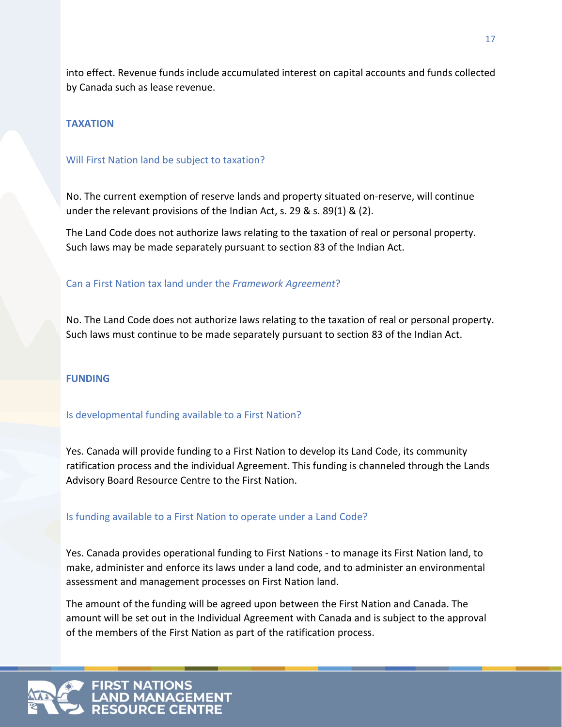into effect. Revenue funds include accumulated interest on capital accounts and funds collected by Canada such as lease revenue.

### **TAXATION**

### Will First Nation land be subject to taxation?

No. The current exemption of reserve lands and property situated on-reserve, will continue under the relevant provisions of the Indian Act, s. 29 & s. 89(1) & (2).

The Land Code does not authorize laws relating to the taxation of real or personal property. Such laws may be made separately pursuant to section 83 of the Indian Act.

### Can a First Nation tax land under the *Framework Agreement*?

No. The Land Code does not authorize laws relating to the taxation of real or personal property. Such laws must continue to be made separately pursuant to section 83 of the Indian Act.

### **FUNDING**

### Is developmental funding available to a First Nation?

Yes. Canada will provide funding to a First Nation to develop its Land Code, its community ratification process and the individual Agreement. This funding is channeled through the Lands Advisory Board Resource Centre to the First Nation.

### Is funding available to a First Nation to operate under a Land Code?

Yes. Canada provides operational funding to First Nations - to manage its First Nation land, to make, administer and enforce its laws under a land code, and to administer an environmental assessment and management processes on First Nation land.

The amount of the funding will be agreed upon between the First Nation and Canada. The amount will be set out in the Individual Agreement with Canada and is subject to the approval of the members of the First Nation as part of the ratification process.

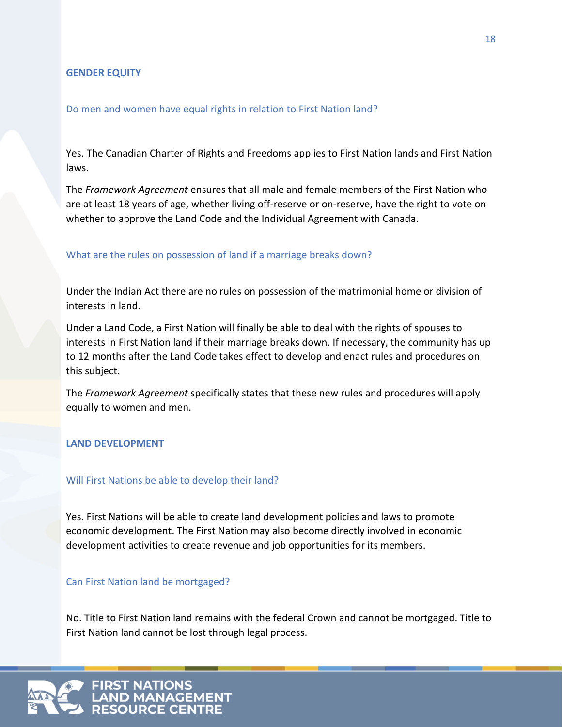### **GENDER EQUITY**

### Do men and women have equal rights in relation to First Nation land?

Yes. The Canadian Charter of Rights and Freedoms applies to First Nation lands and First Nation laws.

The *Framework Agreement* ensures that all male and female members of the First Nation who are at least 18 years of age, whether living off-reserve or on-reserve, have the right to vote on whether to approve the Land Code and the Individual Agreement with Canada.

### What are the rules on possession of land if a marriage breaks down?

Under the Indian Act there are no rules on possession of the matrimonial home or division of interests in land.

Under a Land Code, a First Nation will finally be able to deal with the rights of spouses to interests in First Nation land if their marriage breaks down. If necessary, the community has up to 12 months after the Land Code takes effect to develop and enact rules and procedures on this subject.

The *Framework Agreement* specifically states that these new rules and procedures will apply equally to women and men.

### **LAND DEVELOPMENT**

### Will First Nations be able to develop their land?

Yes. First Nations will be able to create land development policies and laws to promote economic development. The First Nation may also become directly involved in economic development activities to create revenue and job opportunities for its members.

### Can First Nation land be mortgaged?

No. Title to First Nation land remains with the federal Crown and cannot be mortgaged. Title to First Nation land cannot be lost through legal process.

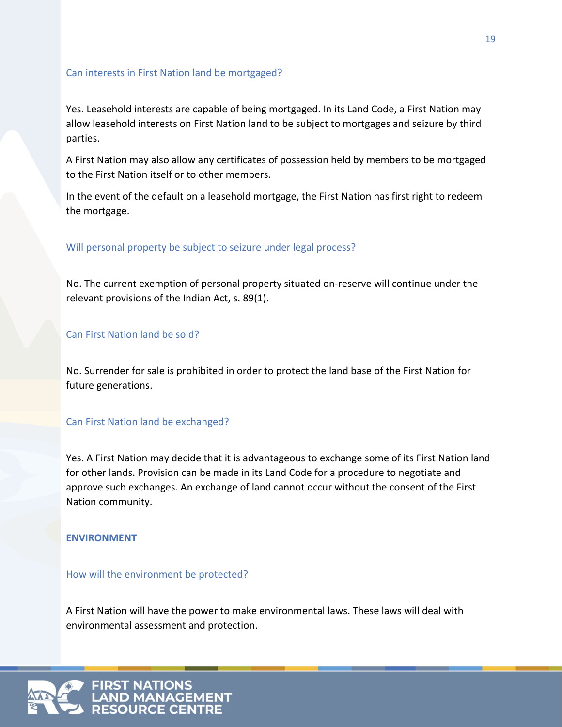### Can interests in First Nation land be mortgaged?

Yes. Leasehold interests are capable of being mortgaged. In its Land Code, a First Nation may allow leasehold interests on First Nation land to be subject to mortgages and seizure by third parties.

A First Nation may also allow any certificates of possession held by members to be mortgaged to the First Nation itself or to other members.

In the event of the default on a leasehold mortgage, the First Nation has first right to redeem the mortgage.

### Will personal property be subject to seizure under legal process?

No. The current exemption of personal property situated on-reserve will continue under the relevant provisions of the Indian Act, s. 89(1).

### Can First Nation land be sold?

No. Surrender for sale is prohibited in order to protect the land base of the First Nation for future generations.

### Can First Nation land be exchanged?

Yes. A First Nation may decide that it is advantageous to exchange some of its First Nation land for other lands. Provision can be made in its Land Code for a procedure to negotiate and approve such exchanges. An exchange of land cannot occur without the consent of the First Nation community.

### **ENVIRONMENT**

How will the environment be protected?

A First Nation will have the power to make environmental laws. These laws will deal with environmental assessment and protection.

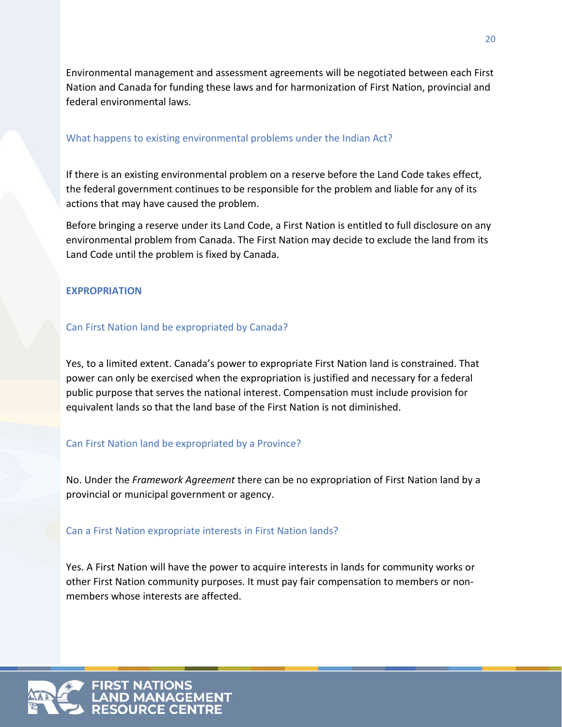Environmental management and assessment agreements will be negotiated between each First Nation and Canada for funding these laws and for harmonization of First Nation, provincial and federal environmental laws.

### What happens to existing environmental problems under the Indian Act?

If there is an existing environmental problem on a reserve before the Land Code takes effect, the federal government continues to be responsible for the problem and liable for any of its actions that may have caused the problem.

Before bringing a reserve under its Land Code, a First Nation is entitled to full disclosure on any environmental problem from Canada. The First Nation may decide to exclude the land from its Land Code until the problem is fixed by Canada.

### **EXPROPRIATION**

### Can First Nation land be expropriated by Canada?

Yes, to a limited extent. Canada's power to expropriate First Nation land is constrained. That power can only be exercised when the expropriation is justified and necessary for a federal public purpose that serves the national interest. Compensation must include provision for equivalent lands so that the land base of the First Nation is not diminished.

### Can First Nation land be expropriated by a Province?

No. Under the *Framework Agreement* there can be no expropriation of First Nation land by a provincial or municipal government or agency.

### Can a First Nation expropriate interests in First Nation lands?

Yes. A First Nation will have the power to acquire interests in lands for community works or other First Nation community purposes. It must pay fair compensation to members or nonmembers whose interests are affected.

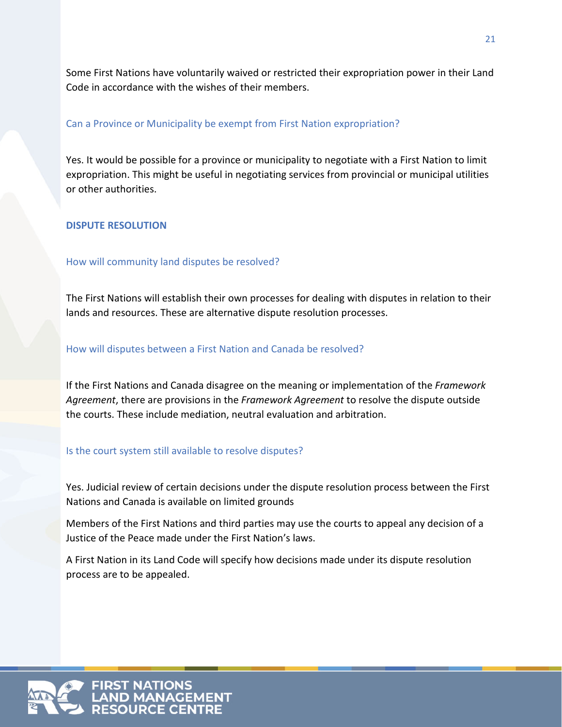Some First Nations have voluntarily waived or restricted their expropriation power in their Land Code in accordance with the wishes of their members.

### Can a Province or Municipality be exempt from First Nation expropriation?

Yes. It would be possible for a province or municipality to negotiate with a First Nation to limit expropriation. This might be useful in negotiating services from provincial or municipal utilities or other authorities.

### **DISPUTE RESOLUTION**

### How will community land disputes be resolved?

The First Nations will establish their own processes for dealing with disputes in relation to their lands and resources. These are alternative dispute resolution processes.

### How will disputes between a First Nation and Canada be resolved?

If the First Nations and Canada disagree on the meaning or implementation of the *Framework Agreement*, there are provisions in the *Framework Agreement* to resolve the dispute outside the courts. These include mediation, neutral evaluation and arbitration.

### Is the court system still available to resolve disputes?

Yes. Judicial review of certain decisions under the dispute resolution process between the First Nations and Canada is available on limited grounds

Members of the First Nations and third parties may use the courts to appeal any decision of a Justice of the Peace made under the First Nation's laws.

A First Nation in its Land Code will specify how decisions made under its dispute resolution process are to be appealed.

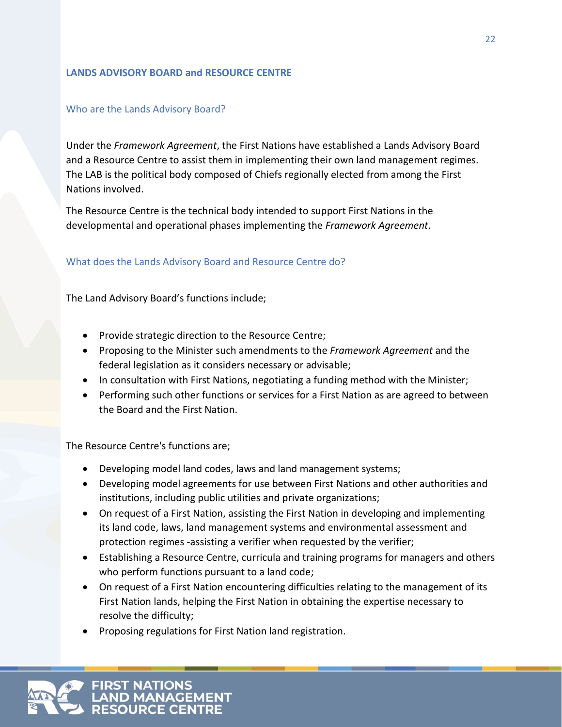### **LANDS ADVISORY BOARD and RESOURCE CENTRE**

### Who are the Lands Advisory Board?

Under the *Framework Agreement*, the First Nations have established a Lands Advisory Board and a Resource Centre to assist them in implementing their own land management regimes. The LAB is the political body composed of Chiefs regionally elected from among the First Nations involved.

The Resource Centre is the technical body intended to support First Nations in the developmental and operational phases implementing the *Framework Agreement*.

### What does the Lands Advisory Board and Resource Centre do?

The Land Advisory Board's functions include;

- Provide strategic direction to the Resource Centre;
- Proposing to the Minister such amendments to the *Framework Agreement* and the federal legislation as it considers necessary or advisable;
- In consultation with First Nations, negotiating a funding method with the Minister;
- Performing such other functions or services for a First Nation as are agreed to between the Board and the First Nation.

The Resource Centre's functions are;

- Developing model land codes, laws and land management systems;
- Developing model agreements for use between First Nations and other authorities and institutions, including public utilities and private organizations;
- On request of a First Nation, assisting the First Nation in developing and implementing its land code, laws, land management systems and environmental assessment and protection regimes -assisting a verifier when requested by the verifier;
- Establishing a Resource Centre, curricula and training programs for managers and others who perform functions pursuant to a land code;
- On request of a First Nation encountering difficulties relating to the management of its First Nation lands, helping the First Nation in obtaining the expertise necessary to resolve the difficulty;
- Proposing regulations for First Nation land registration.